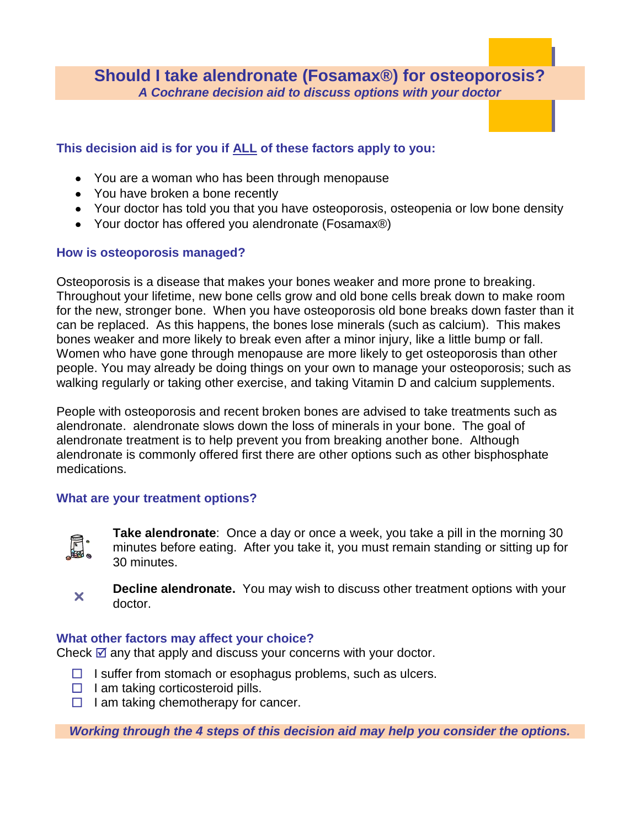**Should I take alendronate (Fosamax®) for osteoporosis?** *A Cochrane decision aid to discuss options with your doctor*

# **This decision aid is for you if ALL of these factors apply to you:**

- You are a woman who has been through menopause
- You have broken a bone recently
- Your doctor has told you that you have osteoporosis, osteopenia or low bone density
- Your doctor has offered you alendronate (Fosamax®)

## **How is osteoporosis managed?**

Osteoporosis is a disease that makes your bones weaker and more prone to breaking. Throughout your lifetime, new bone cells grow and old bone cells break down to make room for the new, stronger bone. When you have osteoporosis old bone breaks down faster than it can be replaced. As this happens, the bones lose minerals (such as calcium). This makes bones weaker and more likely to break even after a minor injury, like a little bump or fall. Women who have gone through menopause are more likely to get osteoporosis than other people. You may already be doing things on your own to manage your osteoporosis; such as walking regularly or taking other exercise, and taking Vitamin D and calcium supplements.

People with osteoporosis and recent broken bones are advised to take treatments such as alendronate. alendronate slows down the loss of minerals in your bone. The goal of alendronate treatment is to help prevent you from breaking another bone. Although alendronate is commonly offered first there are other options such as other bisphosphate medications.

## **What are your treatment options?**



**Take alendronate**: Once a day or once a week, you take a pill in the morning 30 minutes before eating. After you take it, you must remain standing or sitting up for 30 minutes.



**Decline alendronate.** You may wish to discuss other treatment options with your doctor.

## **What other factors may affect your choice?**

Check  $\mathbb Z$  any that apply and discuss your concerns with your doctor.

- $\Box$  I suffer from stomach or esophagus problems, such as ulcers.
- $\Box$  I am taking corticosteroid pills.
- $\Box$  I am taking chemotherapy for cancer.

*Working through the 4 steps of this decision aid may help you consider the options.*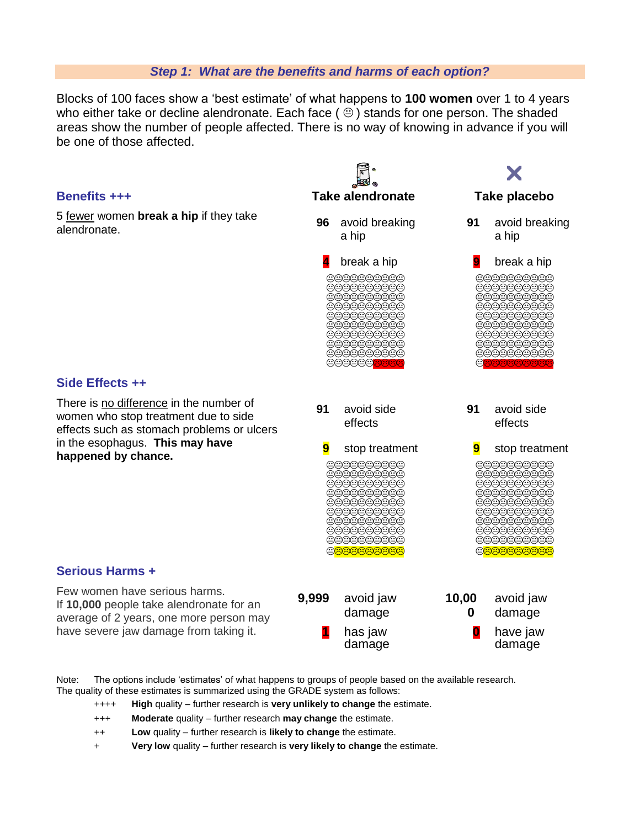#### *Step 1: What are the benefits and harms of each option?*

Blocks of 100 faces show a 'best estimate' of what happens to **100 women** over 1 to 4 years who either take or decline alendronate. Each face ( $\Theta$ ) stands for one person. The shaded areas show the number of people affected. There is no way of knowing in advance if you will be one of those affected.



Note: The options include 'estimates' of what happens to groups of people based on the available research. The quality of these estimates is summarized using the GRADE system as follows:

- ++++ **High** quality further research is **very unlikely to change** the estimate.
- +++ **Moderate** quality further research **may change** the estimate.
- ++ **Low** quality further research is **likely to change** the estimate.
- + **Very low** quality further research is **very likely to change** the estimate.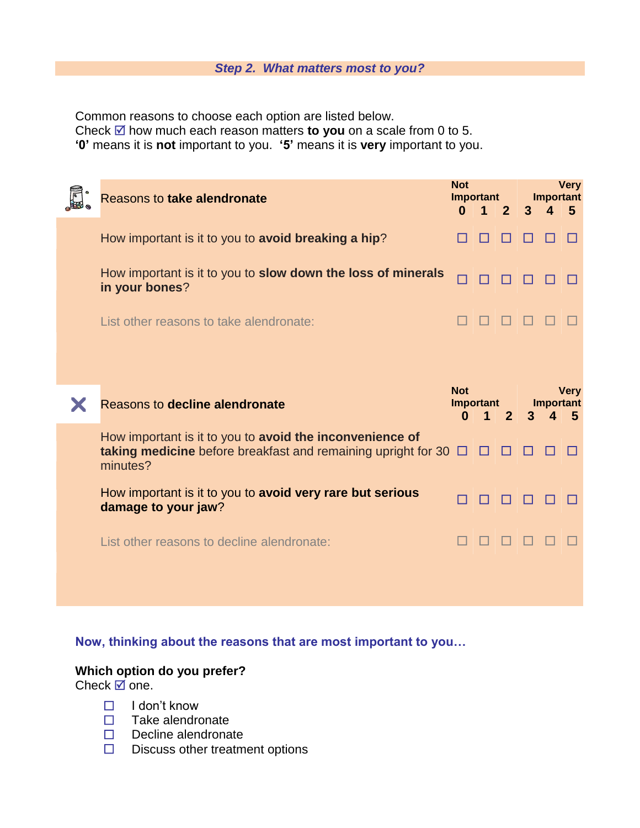#### *Step 2. What matters most to you?*

Common reasons to choose each option are listed below.

Check  $\boxtimes$  how much each reason matters to you on a scale from 0 to 5.

**'0'** means it is **not** important to you. **'5'** means it is **very** important to you.

| Reasons to take alendronate                                                                                                           | <b>Not</b><br>Important |                                   | <b>Very</b><br><b>Important</b> |                |                              |                   |
|---------------------------------------------------------------------------------------------------------------------------------------|-------------------------|-----------------------------------|---------------------------------|----------------|------------------------------|-------------------|
|                                                                                                                                       | $\mathbf{0}$            | 41                                | 2 <sup>2</sup>                  | $\overline{3}$ | $\blacktriangle$             | 5                 |
| How important is it to you to avoid breaking a hip?                                                                                   |                         |                                   |                                 |                |                              |                   |
| How important is it to you to slow down the loss of minerals<br>in your bones?                                                        |                         |                                   |                                 |                |                              |                   |
| List other reasons to take alendronate:                                                                                               |                         |                                   |                                 |                |                              |                   |
| Reasons to decline alendronate                                                                                                        | <b>Not</b><br>$\bf{0}$  | Important<br>$\blacktriangleleft$ | 2 <sup>2</sup>                  | 3              | <b>Important</b><br>$\Delta$ | <b>Very</b><br>-5 |
| How important is it to you to avoid the inconvenience of<br>taking medicine before breakfast and remaining upright for 30<br>minutes? |                         |                                   |                                 |                |                              |                   |
| How important is it to you to avoid very rare but serious<br>damage to your jaw?                                                      |                         |                                   |                                 |                |                              |                   |
| List other reasons to decline alendronate:                                                                                            |                         |                                   |                                 |                |                              |                   |
|                                                                                                                                       |                         |                                   |                                 |                |                              |                   |

**Now, thinking about the reasons that are most important to you…**

# **Which option do you prefer?**

Check  $\overline{\mathbb{Z}}$  one.

- $\Box$  I don't know
- $\Box$  Take alendronate
- $\Box$  Decline alendronate
- $\square$  Discuss other treatment options